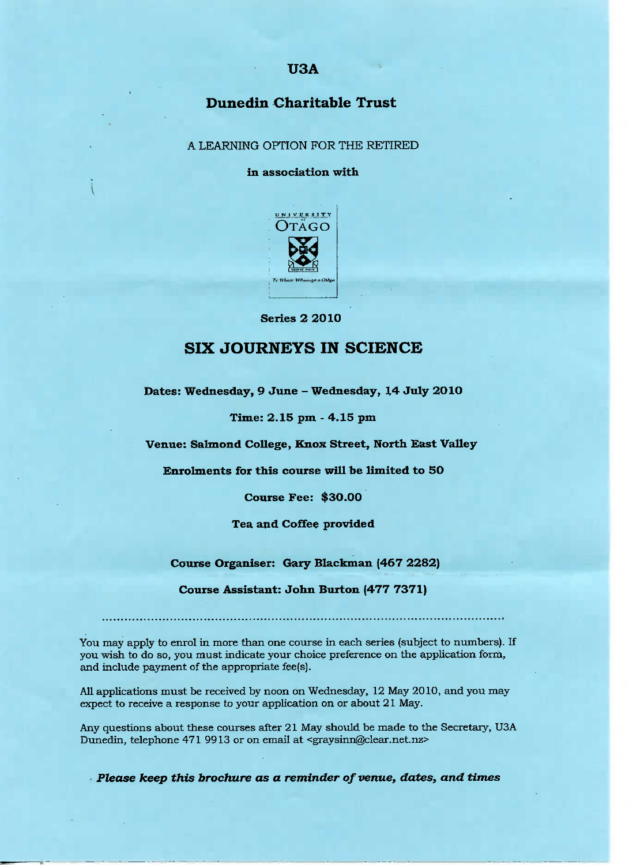## **USA**

# **Dunedin Charitable Trust**

A LEARNING OPTION FOR THE RETIRED

**in association with**



**Series 2 2010**

# **SIX JOURNEYS IN SCIENCE**

**Dates:** Wednesday, **9 June - Wednesday, 14 July 2O10**

**Time: 2.15 pm - 4.15 pm**

**Venue:** Salmond **College, Knox Street, North East Valley**

**Enrolments for this course will be limited to 50**

**Course Fee: \$30.00**

**Tea and Coffee provided**

**Course Organiser: Gary Blackman (467 2282)**

**Course Assistant: John Burton (477 7371)**

You may apply to enrol in more than one course in each series (subject to numbers). If you wish to do so, you must indicate your choice preference on the application form, and include payment of the appropriate fee(s).

All applications must be received by noon on Wednesday, 12 May 2010, and you may expect to receive a response to your application on or about 21 May.

Any questions about these courses after 21 May should be made to the Secretary, USA Dunedin, telephone 471 9913 or on email at <graysinn@clear.net.nz>

*Please keep this brochure as a reminder of venue, dates, and times*